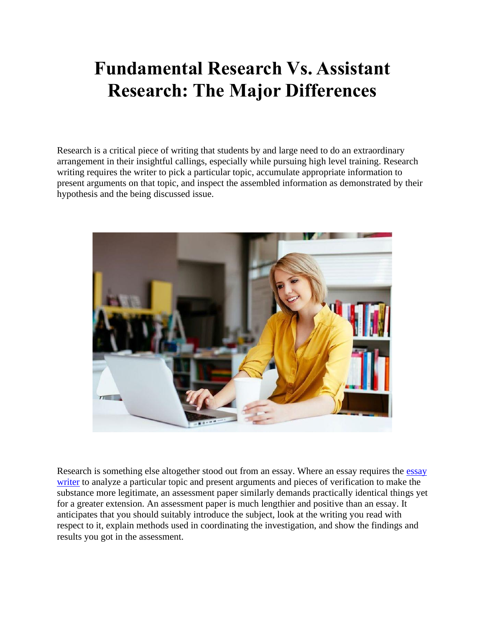## **Fundamental Research Vs. Assistant Research: The Major Differences**

Research is a critical piece of writing that students by and large need to do an extraordinary arrangement in their insightful callings, especially while pursuing high level training. Research writing requires the writer to pick a particular topic, accumulate appropriate information to present arguments on that topic, and inspect the assembled information as demonstrated by their hypothesis and the being discussed issue.



Research is something else altogether stood out from an essay. Where an [essay](https://essaywriternow.com/) requires the essay [writer](https://essaywriternow.com/) to analyze a particular topic and present arguments and pieces of verification to make the substance more legitimate, an assessment paper similarly demands practically identical things yet for a greater extension. An assessment paper is much lengthier and positive than an essay. It anticipates that you should suitably introduce the subject, look at the writing you read with respect to it, explain methods used in coordinating the investigation, and show the findings and results you got in the assessment.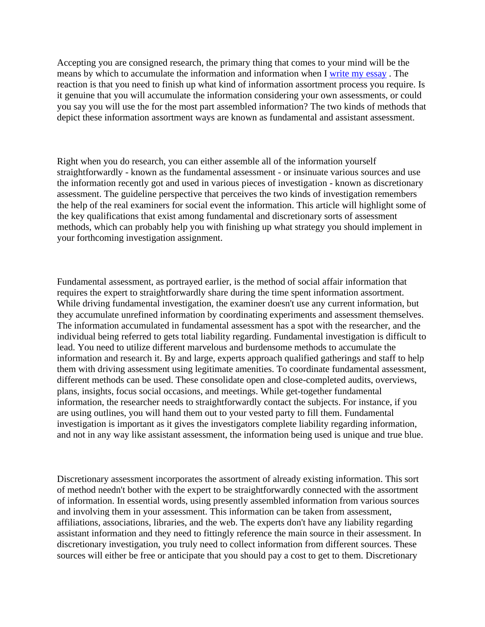Accepting you are consigned research, the primary thing that comes to your mind will be the means by which to accumulate the information and information when I [write my essay](https://writemyessayfast.net/) . The reaction is that you need to finish up what kind of information assortment process you require. Is it genuine that you will accumulate the information considering your own assessments, or could you say you will use the for the most part assembled information? The two kinds of methods that depict these information assortment ways are known as fundamental and assistant assessment.

Right when you do research, you can either assemble all of the information yourself straightforwardly - known as the fundamental assessment - or insinuate various sources and use the information recently got and used in various pieces of investigation - known as discretionary assessment. The guideline perspective that perceives the two kinds of investigation remembers the help of the real examiners for social event the information. This article will highlight some of the key qualifications that exist among fundamental and discretionary sorts of assessment methods, which can probably help you with finishing up what strategy you should implement in your forthcoming investigation assignment.

Fundamental assessment, as portrayed earlier, is the method of social affair information that requires the expert to straightforwardly share during the time spent information assortment. While driving fundamental investigation, the examiner doesn't use any current information, but they accumulate unrefined information by coordinating experiments and assessment themselves. The information accumulated in fundamental assessment has a spot with the researcher, and the individual being referred to gets total liability regarding. Fundamental investigation is difficult to lead. You need to utilize different marvelous and burdensome methods to accumulate the information and research it. By and large, experts approach qualified gatherings and staff to help them with driving assessment using legitimate amenities. To coordinate fundamental assessment, different methods can be used. These consolidate open and close-completed audits, overviews, plans, insights, focus social occasions, and meetings. While get-together fundamental information, the researcher needs to straightforwardly contact the subjects. For instance, if you are using outlines, you will hand them out to your vested party to fill them. Fundamental investigation is important as it gives the investigators complete liability regarding information, and not in any way like assistant assessment, the information being used is unique and true blue.

Discretionary assessment incorporates the assortment of already existing information. This sort of method needn't bother with the expert to be straightforwardly connected with the assortment of information. In essential words, using presently assembled information from various sources and involving them in your assessment. This information can be taken from assessment, affiliations, associations, libraries, and the web. The experts don't have any liability regarding assistant information and they need to fittingly reference the main source in their assessment. In discretionary investigation, you truly need to collect information from different sources. These sources will either be free or anticipate that you should pay a cost to get to them. Discretionary